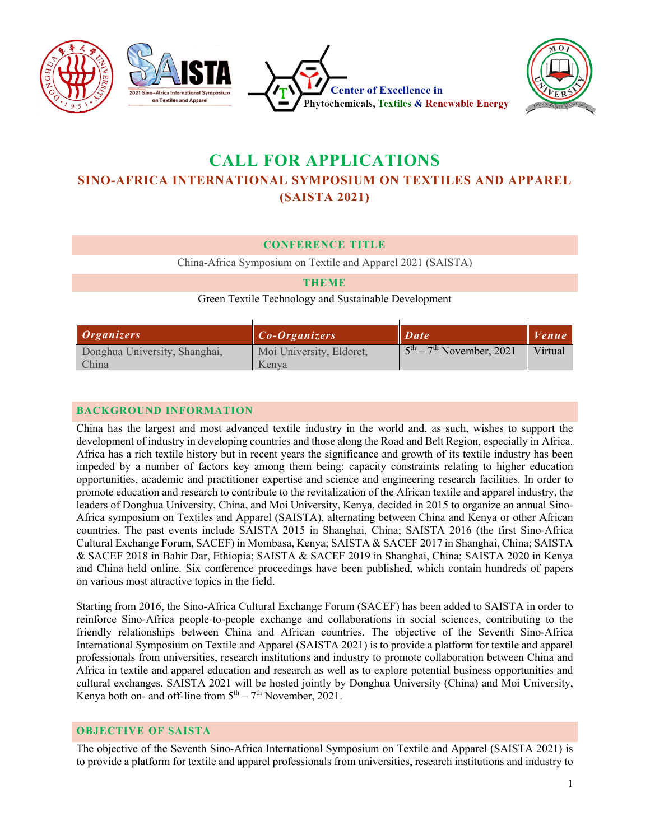

# **CALL FOR APPLICATIONS SINO-AFRICA INTERNATIONAL SYMPOSIUM ON TEXTILES AND APPAREL (SAISTA 2021)**

### **CONFERENCE TITLE**

China-Africa Symposium on Textile and Apparel 2021 (SAISTA)

#### **THEME**

Green Textile Technology and Sustainable Development

| <i>Organizers</i>             | $\ $ Co-Organizers       | $\blacksquare$ Date        | $ $ <i>Venue</i> |
|-------------------------------|--------------------------|----------------------------|------------------|
| Donghua University, Shanghai, | Moi University, Eldoret, | $5th - 7th$ November, 2021 | Virtual          |
| China                         | Kenva                    |                            |                  |

### **BACKGROUND INFORMATION**

China has the largest and most advanced textile industry in the world and, as such, wishes to support the development of industry in developing countries and those along the Road and Belt Region, especially in Africa. Africa has a rich textile history but in recent years the significance and growth of its textile industry has been impeded by a number of factors key among them being: capacity constraints relating to higher education opportunities, academic and practitioner expertise and science and engineering research facilities. In order to promote education and research to contribute to the revitalization of the African textile and apparel industry, the leaders of Donghua University, China, and Moi University, Kenya, decided in 2015 to organize an annual Sino-Africa symposium on Textiles and Apparel (SAISTA), alternating between China and Kenya or other African countries. The past events include SAISTA 2015 in Shanghai, China; SAISTA 2016 (the first Sino-Africa Cultural Exchange Forum, SACEF) in Mombasa, Kenya; SAISTA & SACEF 2017 in Shanghai, China; SAISTA & SACEF 2018 in Bahir Dar, Ethiopia; SAISTA & SACEF 2019 in Shanghai, China; SAISTA 2020 in Kenya and China held online. Six conference proceedings have been published, which contain hundreds of papers on various most attractive topics in the field.

Starting from 2016, the Sino-Africa Cultural Exchange Forum (SACEF) has been added to SAISTA in order to reinforce Sino-Africa people-to-people exchange and collaborations in social sciences, contributing to the friendly relationships between China and African countries. The objective of the Seventh Sino-Africa International Symposium on Textile and Apparel (SAISTA 2021) is to provide a platform for textile and apparel professionals from universities, research institutions and industry to promote collaboration between China and Africa in textile and apparel education and research as well as to explore potential business opportunities and cultural exchanges. SAISTA 2021 will be hosted jointly by Donghua University (China) and Moi University, Kenya both on- and off-line from  $5<sup>th</sup> - 7<sup>th</sup>$  November, 2021.

#### **OBJECTIVE OF SAISTA**

The objective of the Seventh Sino-Africa International Symposium on Textile and Apparel (SAISTA 2021) is to provide a platform for textile and apparel professionals from universities, research institutions and industry to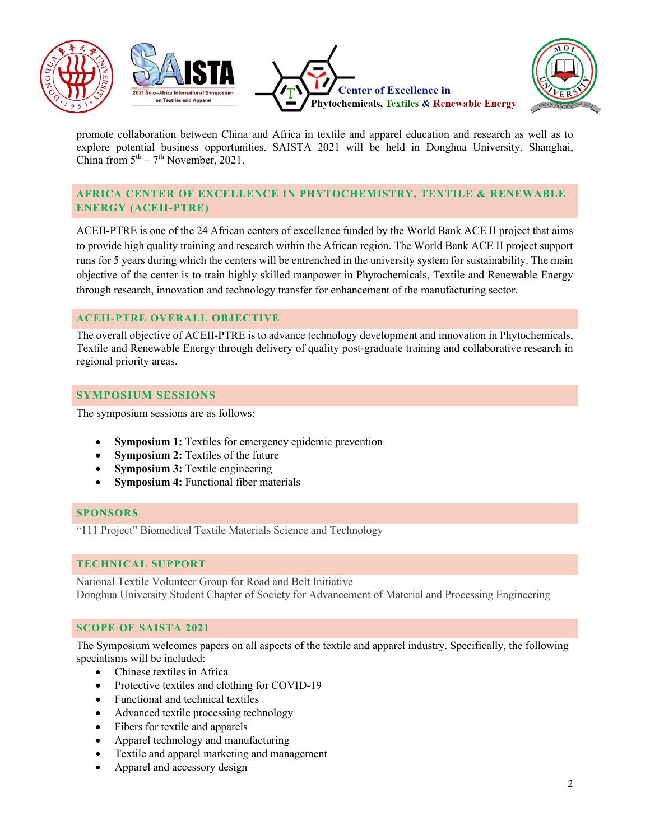







promote collaboration between China and Africa in textile and apparel education and research as well as to explore potential business opportunities. SAISTA 2021 will be held in Donghua University, Shanghai, China from  $5<sup>th</sup> - 7<sup>th</sup>$  November, 2021.

# **AFRICA CENTER OF EXCELLENCE IN PHYTOCHEMISTRY, TEXTILE & RENEWABLE ENERGY (ACEII-PTRE)**

ACEII-PTRE is one of the 24 African centers of excellence funded by the World Bank ACE II project that aims to provide high quality training and research within the African region. The World Bank ACE II project support runs for 5 years during which the centers will be entrenched in the university system for sustainability. The main objective of the center is to train highly skilled manpower in Phytochemicals, Textile and Renewable Energy through research, innovation and technology transfer for enhancement of the manufacturing sector.

# **ACEII-PTRE OVERALL OBJECTIVE**

The overall objective of ACEII-PTRE is to advance technology development and innovation in Phytochemicals, Textile and Renewable Energy through delivery of quality post-graduate training and collaborative research in regional priority areas.

# **SYMPOSIUM SESSIONS**

The symposium sessions are as follows:

- **Symposium 1:** Textiles for emergency epidemic prevention
- **Symposium 2:** Textiles of the future
- **Symposium 3:** Textile engineering
- **Symposium 4:** Functional fiber materials

# **SPONSORS**

"111 Project" Biomedical Textile Materials Science and Technology

# **TECHNICAL SUPPORT**

National Textile Volunteer Group for Road and Belt Initiative Donghua University Student Chapter of Society for Advancement of Material and Processing Engineering

# **SCOPE OF SAISTA 2021**

The Symposium welcomes papers on all aspects of the textile and apparel industry. Specifically, the following specialisms will be included:

- Chinese textiles in Africa
- Protective textiles and clothing for COVID-19
- Functional and technical textiles
- Advanced textile processing technology
- Fibers for textile and apparels
- Apparel technology and manufacturing
- Textile and apparel marketing and management
- Apparel and accessory design